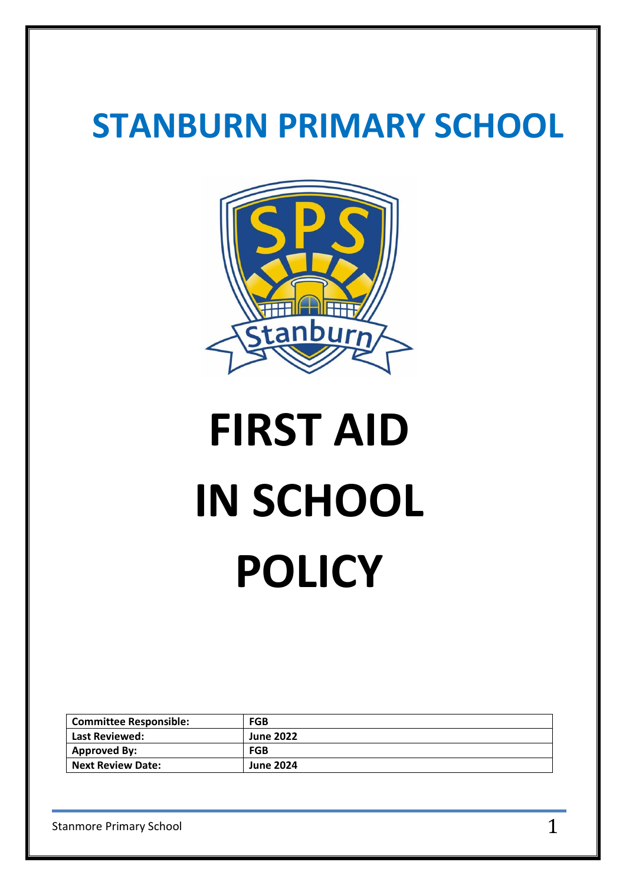## **STANBURN PRIMARY SCHOOL**



# **FIRST AID IN SCHOOL POLICY**

| <b>Committee Responsible:</b> | FGB              |
|-------------------------------|------------------|
| Last Reviewed:                | <b>June 2022</b> |
| <b>Approved By:</b>           | <b>FGB</b>       |
| <b>Next Review Date:</b>      | <b>June 2024</b> |

Stanmore Primary School  $1$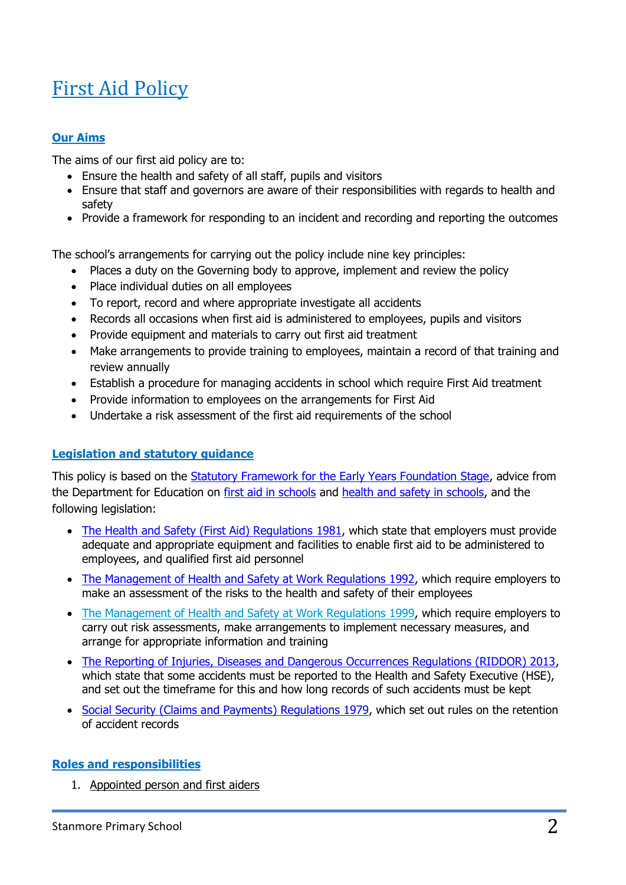### First Aid Policy

#### **Our Aims**

The aims of our first aid policy are to:

- Ensure the health and safety of all staff, pupils and visitors
- Ensure that staff and governors are aware of their responsibilities with regards to health and safety
- Provide a framework for responding to an incident and recording and reporting the outcomes

The school's arrangements for carrying out the policy include nine key principles:

- Places a duty on the Governing body to approve, implement and review the policy
- Place individual duties on all employees
- To report, record and where appropriate investigate all accidents
- Records all occasions when first aid is administered to employees, pupils and visitors
- Provide equipment and materials to carry out first aid treatment
- Make arrangements to provide training to employees, maintain a record of that training and review annually
- Establish a procedure for managing accidents in school which require First Aid treatment
- Provide information to employees on the arrangements for First Aid
- Undertake a risk assessment of the first aid requirements of the school

#### **Legislation and statutory guidance**

This policy is based on the **Statutory Framework for the Early Years Foundation Stage**, advice from the Department for Education on [first aid in schools](https://www.gov.uk/government/publications/first-aid-in-schools) and [health and safety in schools,](https://www.gov.uk/government/publications/health-and-safety-advice-for-schools) and the following legislation:

- [The Health and Safety \(First Aid\) Regulations 1981,](http://www.legislation.gov.uk/uksi/1981/917/regulation/3/made) which state that employers must provide adequate and appropriate equipment and facilities to enable first aid to be administered to employees, and qualified first aid personnel
- [The Management of Health and Safety at Work Regulations 1992,](http://www.legislation.gov.uk/uksi/1992/2051/regulation/3/made) which require employers to make an assessment of the risks to the health and safety of their employees
- [The Management of Health and Safety at Work Regulations 1999,](http://www.legislation.gov.uk/uksi/1999/3242/contents/made) which require employers to carry out risk assessments, make arrangements to implement necessary measures, and arrange for appropriate information and training
- [The Reporting of Injuries, Diseases and Dangerous Occurrences Regulations \(RIDDOR\) 2013,](http://www.legislation.gov.uk/uksi/2013/1471/schedule/1/paragraph/1/made) which state that some accidents must be reported to the Health and Safety Executive (HSE), and set out the timeframe for this and how long records of such accidents must be kept
- [Social Security \(Claims and Payments\) Regulations 1979,](http://www.legislation.gov.uk/uksi/1979/628) which set out rules on the retention of accident records

#### **Roles and responsibilities**

1. Appointed person and first aiders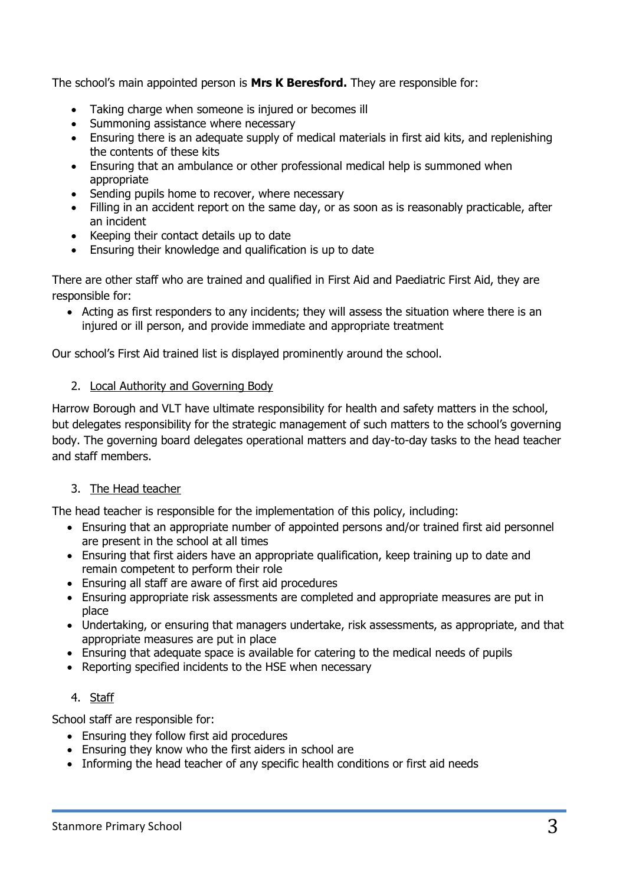The school's main appointed person is **Mrs K Beresford.** They are responsible for:

- Taking charge when someone is injured or becomes ill
- Summoning assistance where necessary
- Ensuring there is an adequate supply of medical materials in first aid kits, and replenishing the contents of these kits
- Ensuring that an ambulance or other professional medical help is summoned when appropriate
- Sending pupils home to recover, where necessary
- Filling in an accident report on the same day, or as soon as is reasonably practicable, after an incident
- Keeping their contact details up to date
- Ensuring their knowledge and qualification is up to date

There are other staff who are trained and qualified in First Aid and Paediatric First Aid, they are responsible for:

• Acting as first responders to any incidents; they will assess the situation where there is an injured or ill person, and provide immediate and appropriate treatment

Our school's First Aid trained list is displayed prominently around the school.

#### 2. Local Authority and Governing Body

Harrow Borough and VLT have ultimate responsibility for health and safety matters in the school, but delegates responsibility for the strategic management of such matters to the school's governing body. The governing board delegates operational matters and day-to-day tasks to the head teacher and staff members.

#### 3. The Head teacher

The head teacher is responsible for the implementation of this policy, including:

- Ensuring that an appropriate number of appointed persons and/or trained first aid personnel are present in the school at all times
- Ensuring that first aiders have an appropriate qualification, keep training up to date and remain competent to perform their role
- Ensuring all staff are aware of first aid procedures
- Ensuring appropriate risk assessments are completed and appropriate measures are put in place
- Undertaking, or ensuring that managers undertake, risk assessments, as appropriate, and that appropriate measures are put in place
- Ensuring that adequate space is available for catering to the medical needs of pupils
- Reporting specified incidents to the HSE when necessary

#### 4. Staff

School staff are responsible for:

- Ensuring they follow first aid procedures
- Ensuring they know who the first aiders in school are
- Informing the head teacher of any specific health conditions or first aid needs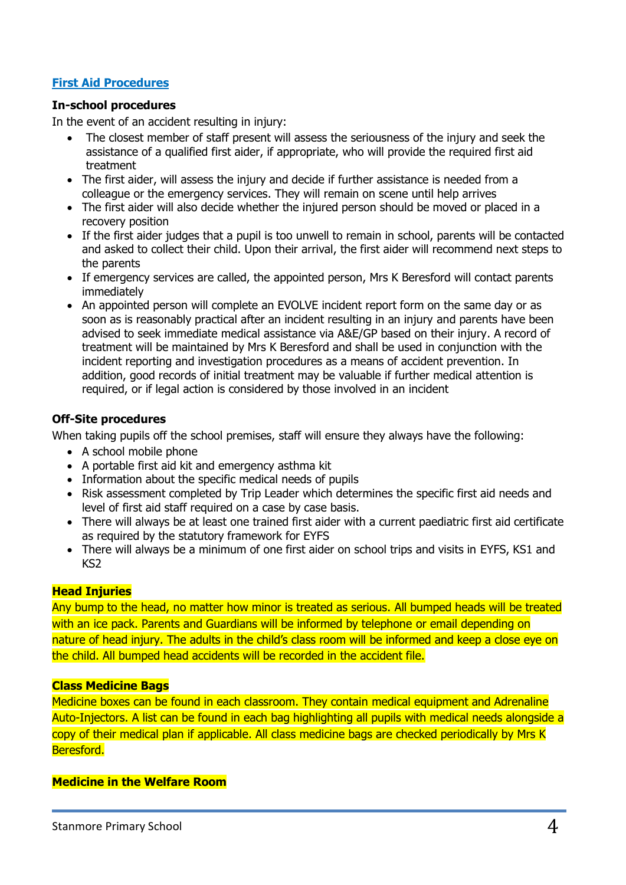#### **First Aid Procedures**

#### **In-school procedures**

In the event of an accident resulting in injury:

- The closest member of staff present will assess the seriousness of the injury and seek the assistance of a qualified first aider, if appropriate, who will provide the required first aid treatment
- The first aider, will assess the injury and decide if further assistance is needed from a colleague or the emergency services. They will remain on scene until help arrives
- The first aider will also decide whether the injured person should be moved or placed in a recovery position
- If the first aider judges that a pupil is too unwell to remain in school, parents will be contacted and asked to collect their child. Upon their arrival, the first aider will recommend next steps to the parents
- If emergency services are called, the appointed person, Mrs K Beresford will contact parents immediately
- An appointed person will complete an EVOLVE incident report form on the same day or as soon as is reasonably practical after an incident resulting in an injury and parents have been advised to seek immediate medical assistance via A&E/GP based on their injury. A record of treatment will be maintained by Mrs K Beresford and shall be used in conjunction with the incident reporting and investigation procedures as a means of accident prevention. In addition, good records of initial treatment may be valuable if further medical attention is required, or if legal action is considered by those involved in an incident

#### **Off-Site procedures**

When taking pupils off the school premises, staff will ensure they always have the following:

- A school mobile phone
- A portable first aid kit and emergency asthma kit
- Information about the specific medical needs of pupils
- Risk assessment completed by Trip Leader which determines the specific first aid needs and level of first aid staff required on a case by case basis.
- There will always be at least one trained first aider with a current paediatric first aid certificate as required by the statutory framework for EYFS
- There will always be a minimum of one first aider on school trips and visits in EYFS, KS1 and KS2

#### **Head Injuries**

Any bump to the head, no matter how minor is treated as serious. All bumped heads will be treated with an ice pack. Parents and Guardians will be informed by telephone or email depending on nature of head injury. The adults in the child's class room will be informed and keep a close eye on the child. All bumped head accidents will be recorded in the accident file.

#### **Class Medicine Bags**

Medicine boxes can be found in each classroom. They contain medical equipment and Adrenaline Auto-Injectors. A list can be found in each bag highlighting all pupils with medical needs alongside a copy of their medical plan if applicable. All class medicine bags are checked periodically by Mrs K Beresford.

#### **Medicine in the Welfare Room**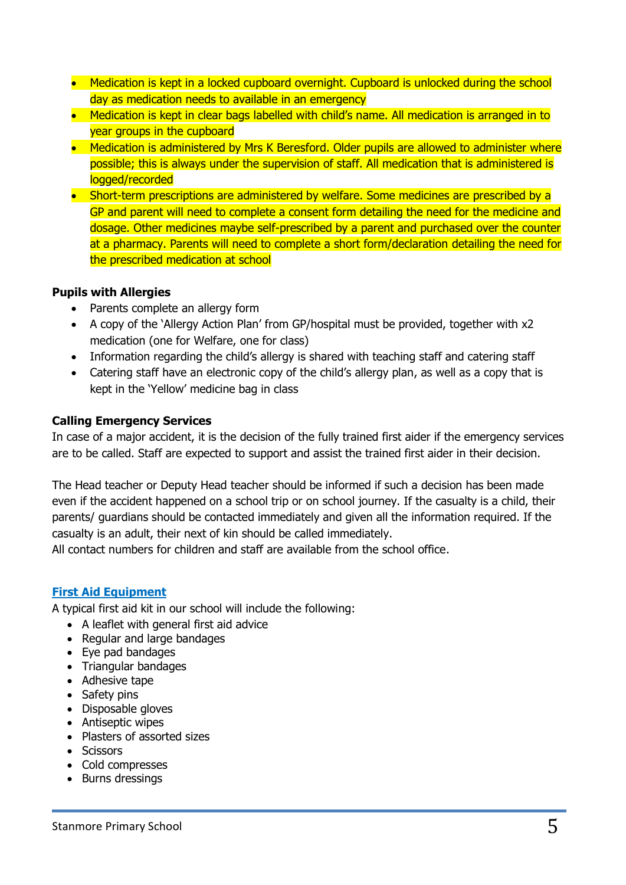- Medication is kept in a locked cupboard overnight. Cupboard is unlocked during the school day as medication needs to available in an emergency
- Medication is kept in clear bags labelled with child's name. All medication is arranged in to year groups in the cupboard
- Medication is administered by Mrs K Beresford. Older pupils are allowed to administer where possible; this is always under the supervision of staff. All medication that is administered is logged/recorded
- Short-term prescriptions are administered by welfare. Some medicines are prescribed by a GP and parent will need to complete a consent form detailing the need for the medicine and dosage. Other medicines maybe self-prescribed by a parent and purchased over the counter at a pharmacy. Parents will need to complete a short form/declaration detailing the need for the prescribed medication at school

#### **Pupils with Allergies**

- Parents complete an allergy form
- A copy of the 'Allergy Action Plan' from GP/hospital must be provided, together with x2 medication (one for Welfare, one for class)
- Information regarding the child's allergy is shared with teaching staff and catering staff
- Catering staff have an electronic copy of the child's allergy plan, as well as a copy that is kept in the 'Yellow' medicine bag in class

#### **Calling Emergency Services**

In case of a major accident, it is the decision of the fully trained first aider if the emergency services are to be called. Staff are expected to support and assist the trained first aider in their decision.

The Head teacher or Deputy Head teacher should be informed if such a decision has been made even if the accident happened on a school trip or on school journey. If the casualty is a child, their parents/ guardians should be contacted immediately and given all the information required. If the casualty is an adult, their next of kin should be called immediately.

All contact numbers for children and staff are available from the school office.

#### **First Aid Equipment**

A typical first aid kit in our school will include the following:

- A leaflet with general first aid advice
- Regular and large bandages
- Eye pad bandages
- Triangular bandages
- Adhesive tape
- Safety pins
- Disposable gloves
- Antiseptic wipes
- Plasters of assorted sizes
- Scissors
- Cold compresses
- Burns dressings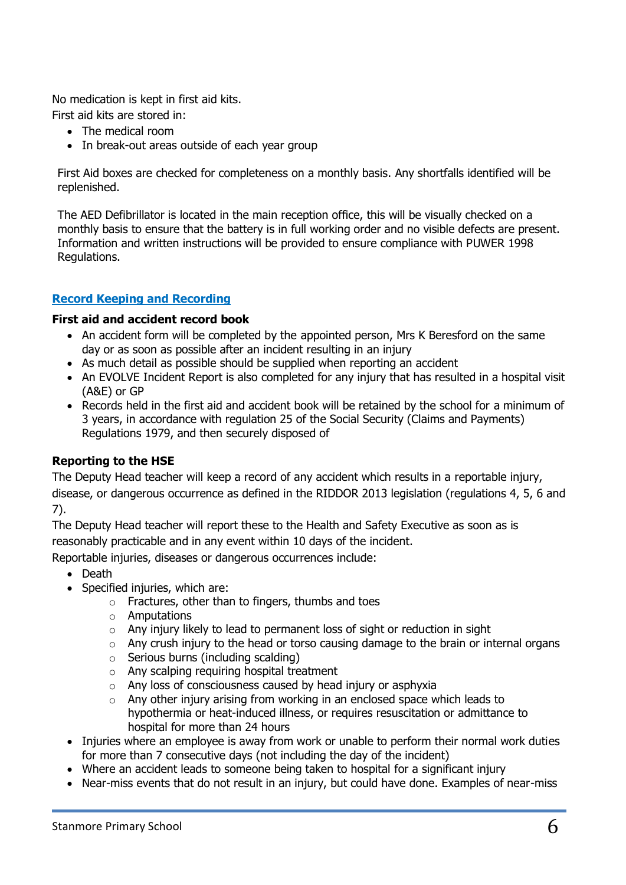No medication is kept in first aid kits.

First aid kits are stored in:

- The medical room
- In break-out areas outside of each year group

First Aid boxes are checked for completeness on a monthly basis. Any shortfalls identified will be replenished.

The AED Defibrillator is located in the main reception office, this will be visually checked on a monthly basis to ensure that the battery is in full working order and no visible defects are present. Information and written instructions will be provided to ensure compliance with PUWER 1998 Regulations.

#### **Record Keeping and Recording**

#### **First aid and accident record book**

- An accident form will be completed by the appointed person, Mrs K Beresford on the same day or as soon as possible after an incident resulting in an injury
- As much detail as possible should be supplied when reporting an accident
- An EVOLVE Incident Report is also completed for any injury that has resulted in a hospital visit (A&E) or GP
- Records held in the first aid and accident book will be retained by the school for a minimum of 3 years, in accordance with regulation 25 of the Social Security (Claims and Payments) Regulations 1979, and then securely disposed of

#### **Reporting to the HSE**

The Deputy Head teacher will keep a record of any accident which results in a reportable injury, disease, or dangerous occurrence as defined in the RIDDOR 2013 legislation (regulations 4, 5, 6 and 7).

The Deputy Head teacher will report these to the Health and Safety Executive as soon as is reasonably practicable and in any event within 10 days of the incident.

Reportable injuries, diseases or dangerous occurrences include:

- Death
- Specified injuries, which are:
	- $\circ$  Fractures, other than to fingers, thumbs and toes
	- o Amputations
	- o Any injury likely to lead to permanent loss of sight or reduction in sight
	- o Any crush injury to the head or torso causing damage to the brain or internal organs
	- o Serious burns (including scalding)
	- o Any scalping requiring hospital treatment
	- o Any loss of consciousness caused by head injury or asphyxia
	- $\circ$  Any other injury arising from working in an enclosed space which leads to hypothermia or heat-induced illness, or requires resuscitation or admittance to hospital for more than 24 hours
- Injuries where an employee is away from work or unable to perform their normal work duties for more than 7 consecutive days (not including the day of the incident)
- Where an accident leads to someone being taken to hospital for a significant injury
- Near-miss events that do not result in an injury, but could have done. Examples of near-miss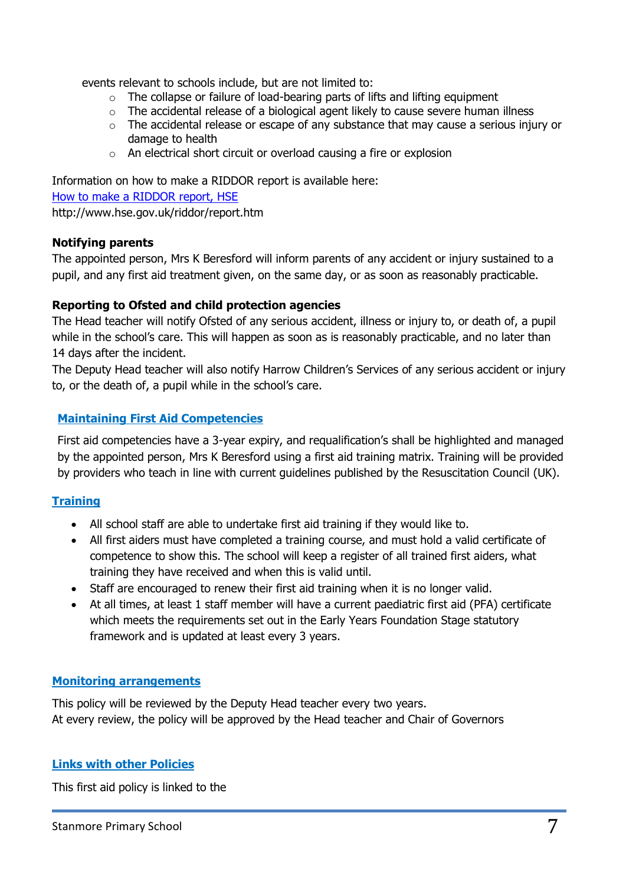events relevant to schools include, but are not limited to:

- $\circ$  The collapse or failure of load-bearing parts of lifts and lifting equipment
- o The accidental release of a biological agent likely to cause severe human illness
- o The accidental release or escape of any substance that may cause a serious injury or damage to health
- o An electrical short circuit or overload causing a fire or explosion

Information on how to make a RIDDOR report is available here: [How to make a RIDDOR report, HSE](http://www.hse.gov.uk/riddor/report.htm) http://www.hse.gov.uk/riddor/report.htm

#### **Notifying parents**

The appointed person, Mrs K Beresford will inform parents of any accident or injury sustained to a pupil, and any first aid treatment given, on the same day, or as soon as reasonably practicable.

#### **Reporting to Ofsted and child protection agencies**

The Head teacher will notify Ofsted of any serious accident, illness or injury to, or death of, a pupil while in the school's care. This will happen as soon as is reasonably practicable, and no later than 14 days after the incident.

The Deputy Head teacher will also notify Harrow Children's Services of any serious accident or injury to, or the death of, a pupil while in the school's care.

#### **Maintaining First Aid Competencies**

First aid competencies have a 3-year expiry, and requalification's shall be highlighted and managed by the appointed person, Mrs K Beresford using a first aid training matrix. Training will be provided by providers who teach in line with current guidelines published by the Resuscitation Council (UK).

#### **Training**

- All school staff are able to undertake first aid training if they would like to.
- All first aiders must have completed a training course, and must hold a valid certificate of competence to show this. The school will keep a register of all trained first aiders, what training they have received and when this is valid until.
- Staff are encouraged to renew their first aid training when it is no longer valid.
- At all times, at least 1 staff member will have a current paediatric first aid (PFA) certificate which meets the requirements set out in the Early Years Foundation Stage statutory framework and is updated at least every 3 years.

#### **Monitoring arrangements**

This policy will be reviewed by the Deputy Head teacher every two years. At every review, the policy will be approved by the Head teacher and Chair of Governors

#### **Links with other Policies**

This first aid policy is linked to the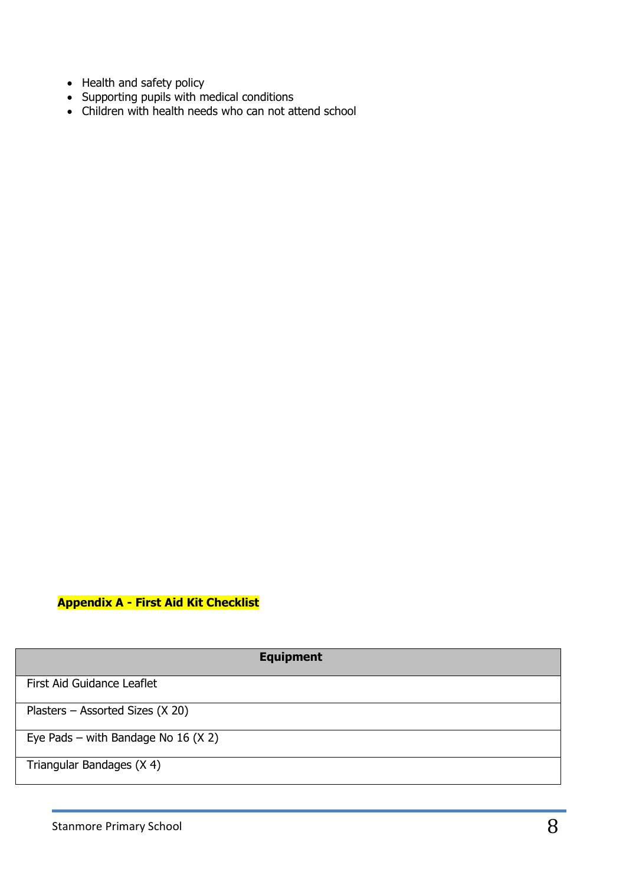- Health and safety policy
- Supporting pupils with medical conditions
- Children with health needs who can not attend school

#### **Appendix A - First Aid Kit Checklist**

| <b>Equipment</b>                      |
|---------------------------------------|
| First Aid Guidance Leaflet            |
| Plasters – Assorted Sizes $(X 20)$    |
| Eye Pads – with Bandage No 16 $(X 2)$ |
| Triangular Bandages (X 4)             |